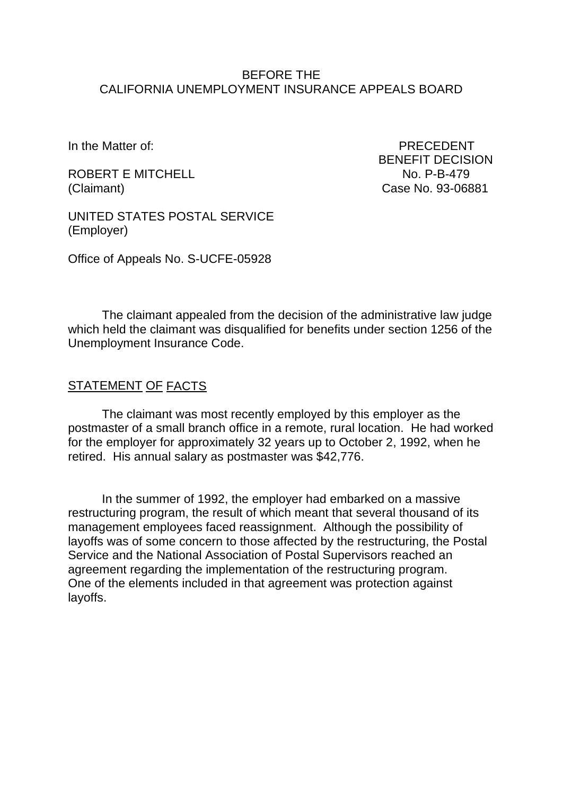#### BEFORE THE CALIFORNIA UNEMPLOYMENT INSURANCE APPEALS BOARD

In the Matter of: PRECEDENT

ROBERT E MITCHELL NO. P-B-479 (Claimant) Case No. 93-06881

BENEFIT DECISION

UNITED STATES POSTAL SERVICE (Employer)

Office of Appeals No. S-UCFE-05928

The claimant appealed from the decision of the administrative law judge which held the claimant was disqualified for benefits under section 1256 of the Unemployment Insurance Code.

#### STATEMENT OF FACTS

The claimant was most recently employed by this employer as the postmaster of a small branch office in a remote, rural location. He had worked for the employer for approximately 32 years up to October 2, 1992, when he retired. His annual salary as postmaster was \$42,776.

In the summer of 1992, the employer had embarked on a massive restructuring program, the result of which meant that several thousand of its management employees faced reassignment. Although the possibility of layoffs was of some concern to those affected by the restructuring, the Postal Service and the National Association of Postal Supervisors reached an agreement regarding the implementation of the restructuring program. One of the elements included in that agreement was protection against layoffs.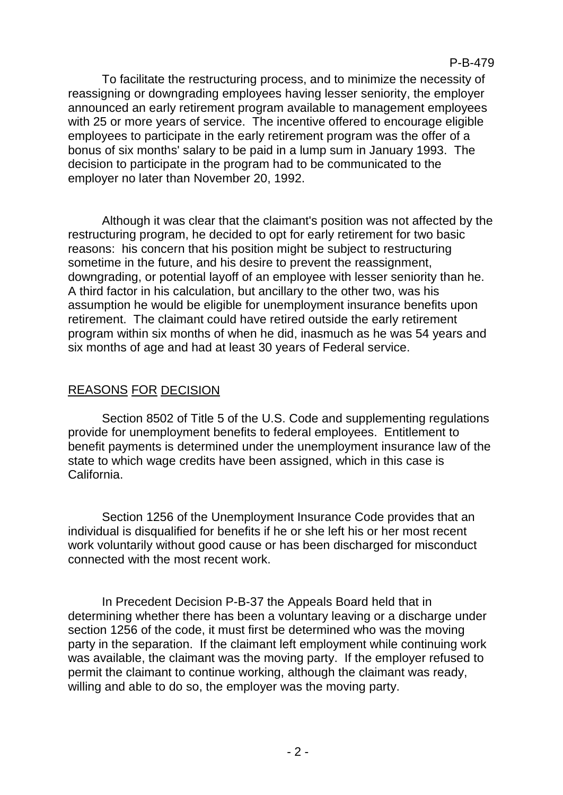To facilitate the restructuring process, and to minimize the necessity of reassigning or downgrading employees having lesser seniority, the employer announced an early retirement program available to management employees with 25 or more years of service. The incentive offered to encourage eligible employees to participate in the early retirement program was the offer of a bonus of six months' salary to be paid in a lump sum in January 1993. The decision to participate in the program had to be communicated to the employer no later than November 20, 1992.

Although it was clear that the claimant's position was not affected by the restructuring program, he decided to opt for early retirement for two basic reasons: his concern that his position might be subject to restructuring sometime in the future, and his desire to prevent the reassignment, downgrading, or potential layoff of an employee with lesser seniority than he. A third factor in his calculation, but ancillary to the other two, was his assumption he would be eligible for unemployment insurance benefits upon retirement. The claimant could have retired outside the early retirement program within six months of when he did, inasmuch as he was 54 years and six months of age and had at least 30 years of Federal service.

# REASONS FOR DECISION

Section 8502 of Title 5 of the U.S. Code and supplementing regulations provide for unemployment benefits to federal employees. Entitlement to benefit payments is determined under the unemployment insurance law of the state to which wage credits have been assigned, which in this case is California.

Section 1256 of the Unemployment Insurance Code provides that an individual is disqualified for benefits if he or she left his or her most recent work voluntarily without good cause or has been discharged for misconduct connected with the most recent work.

In Precedent Decision P-B-37 the Appeals Board held that in determining whether there has been a voluntary leaving or a discharge under section 1256 of the code, it must first be determined who was the moving party in the separation. If the claimant left employment while continuing work was available, the claimant was the moving party. If the employer refused to permit the claimant to continue working, although the claimant was ready, willing and able to do so, the employer was the moving party.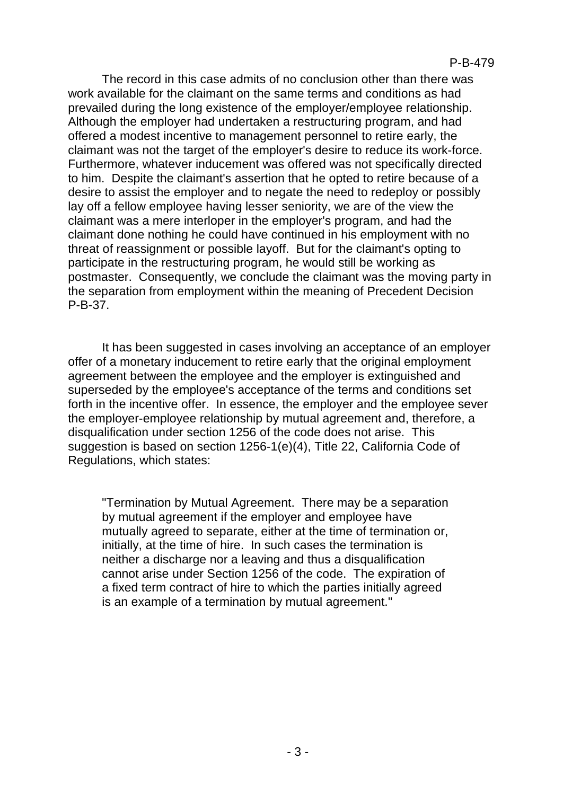The record in this case admits of no conclusion other than there was work available for the claimant on the same terms and conditions as had prevailed during the long existence of the employer/employee relationship. Although the employer had undertaken a restructuring program, and had offered a modest incentive to management personnel to retire early, the claimant was not the target of the employer's desire to reduce its work-force. Furthermore, whatever inducement was offered was not specifically directed to him. Despite the claimant's assertion that he opted to retire because of a desire to assist the employer and to negate the need to redeploy or possibly lay off a fellow employee having lesser seniority, we are of the view the claimant was a mere interloper in the employer's program, and had the claimant done nothing he could have continued in his employment with no threat of reassignment or possible layoff. But for the claimant's opting to participate in the restructuring program, he would still be working as postmaster. Consequently, we conclude the claimant was the moving party in the separation from employment within the meaning of Precedent Decision P-B-37.

It has been suggested in cases involving an acceptance of an employer offer of a monetary inducement to retire early that the original employment agreement between the employee and the employer is extinguished and superseded by the employee's acceptance of the terms and conditions set forth in the incentive offer. In essence, the employer and the employee sever the employer-employee relationship by mutual agreement and, therefore, a disqualification under section 1256 of the code does not arise. This suggestion is based on section 1256-1(e)(4), Title 22, California Code of Regulations, which states:

"Termination by Mutual Agreement. There may be a separation by mutual agreement if the employer and employee have mutually agreed to separate, either at the time of termination or, initially, at the time of hire. In such cases the termination is neither a discharge nor a leaving and thus a disqualification cannot arise under Section 1256 of the code. The expiration of a fixed term contract of hire to which the parties initially agreed is an example of a termination by mutual agreement."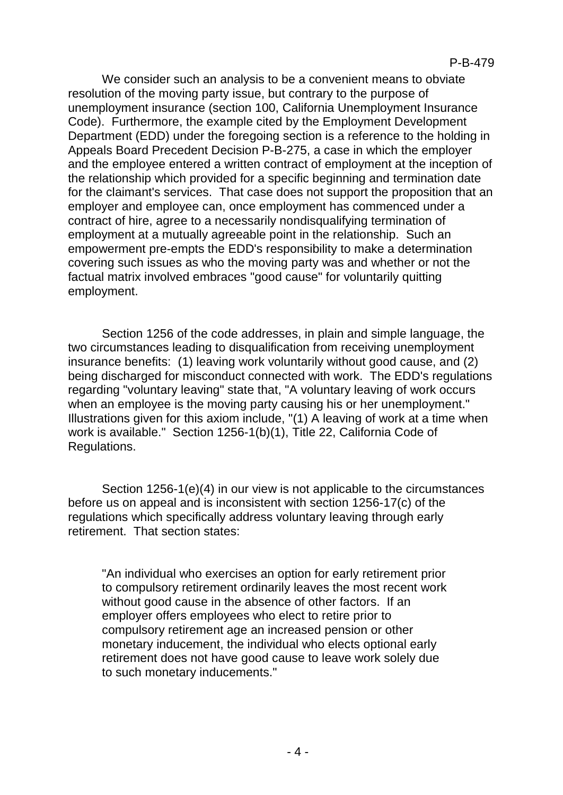We consider such an analysis to be a convenient means to obviate resolution of the moving party issue, but contrary to the purpose of unemployment insurance (section 100, California Unemployment Insurance Code). Furthermore, the example cited by the Employment Development Department (EDD) under the foregoing section is a reference to the holding in Appeals Board Precedent Decision P-B-275, a case in which the employer and the employee entered a written contract of employment at the inception of the relationship which provided for a specific beginning and termination date for the claimant's services. That case does not support the proposition that an employer and employee can, once employment has commenced under a contract of hire, agree to a necessarily nondisqualifying termination of employment at a mutually agreeable point in the relationship. Such an empowerment pre-empts the EDD's responsibility to make a determination covering such issues as who the moving party was and whether or not the factual matrix involved embraces "good cause" for voluntarily quitting employment.

Section 1256 of the code addresses, in plain and simple language, the two circumstances leading to disqualification from receiving unemployment insurance benefits: (1) leaving work voluntarily without good cause, and (2) being discharged for misconduct connected with work. The EDD's regulations regarding "voluntary leaving" state that, "A voluntary leaving of work occurs when an employee is the moving party causing his or her unemployment." Illustrations given for this axiom include, "(1) A leaving of work at a time when work is available." Section 1256-1(b)(1), Title 22, California Code of Regulations.

Section 1256-1(e)(4) in our view is not applicable to the circumstances before us on appeal and is inconsistent with section 1256-17(c) of the regulations which specifically address voluntary leaving through early retirement. That section states:

"An individual who exercises an option for early retirement prior to compulsory retirement ordinarily leaves the most recent work without good cause in the absence of other factors. If an employer offers employees who elect to retire prior to compulsory retirement age an increased pension or other monetary inducement, the individual who elects optional early retirement does not have good cause to leave work solely due to such monetary inducements."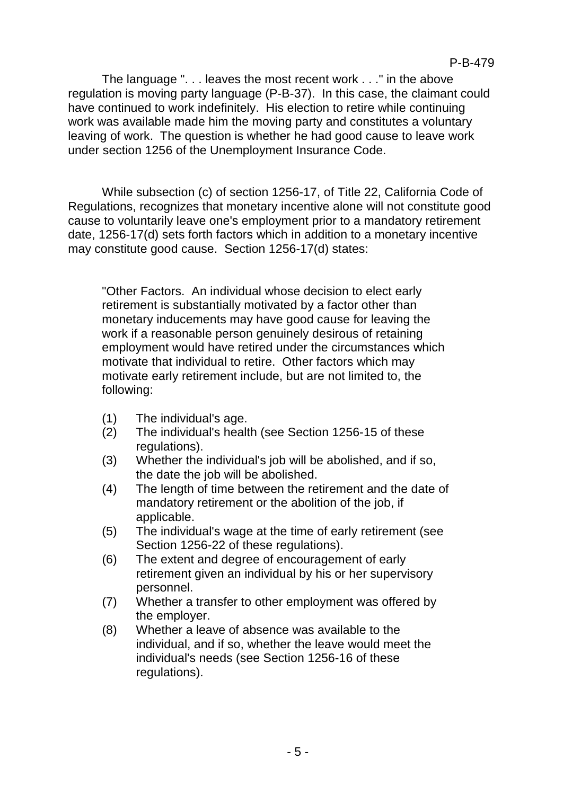The language ". . . leaves the most recent work . . ." in the above regulation is moving party language (P-B-37). In this case, the claimant could have continued to work indefinitely. His election to retire while continuing work was available made him the moving party and constitutes a voluntary leaving of work. The question is whether he had good cause to leave work under section 1256 of the Unemployment Insurance Code.

While subsection (c) of section 1256-17, of Title 22, California Code of Regulations, recognizes that monetary incentive alone will not constitute good cause to voluntarily leave one's employment prior to a mandatory retirement date, 1256-17(d) sets forth factors which in addition to a monetary incentive may constitute good cause. Section 1256-17(d) states:

"Other Factors. An individual whose decision to elect early retirement is substantially motivated by a factor other than monetary inducements may have good cause for leaving the work if a reasonable person genuinely desirous of retaining employment would have retired under the circumstances which motivate that individual to retire. Other factors which may motivate early retirement include, but are not limited to, the following:

- (1) The individual's age.
- (2) The individual's health (see Section 1256-15 of these regulations).
- (3) Whether the individual's job will be abolished, and if so, the date the job will be abolished.
- (4) The length of time between the retirement and the date of mandatory retirement or the abolition of the job, if applicable.
- (5) The individual's wage at the time of early retirement (see Section 1256-22 of these regulations).
- (6) The extent and degree of encouragement of early retirement given an individual by his or her supervisory personnel.
- (7) Whether a transfer to other employment was offered by the employer.
- (8) Whether a leave of absence was available to the individual, and if so, whether the leave would meet the individual's needs (see Section 1256-16 of these regulations).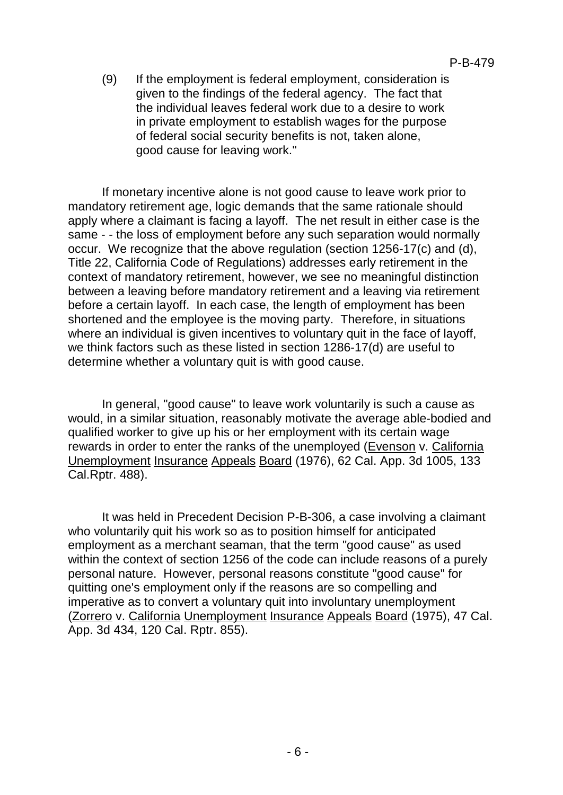(9) If the employment is federal employment, consideration is given to the findings of the federal agency. The fact that the individual leaves federal work due to a desire to work in private employment to establish wages for the purpose of federal social security benefits is not, taken alone, good cause for leaving work."

If monetary incentive alone is not good cause to leave work prior to mandatory retirement age, logic demands that the same rationale should apply where a claimant is facing a layoff. The net result in either case is the same - - the loss of employment before any such separation would normally occur. We recognize that the above regulation (section 1256-17(c) and (d), Title 22, California Code of Regulations) addresses early retirement in the context of mandatory retirement, however, we see no meaningful distinction between a leaving before mandatory retirement and a leaving via retirement before a certain layoff. In each case, the length of employment has been shortened and the employee is the moving party. Therefore, in situations where an individual is given incentives to voluntary quit in the face of layoff, we think factors such as these listed in section 1286-17(d) are useful to determine whether a voluntary quit is with good cause.

In general, "good cause" to leave work voluntarily is such a cause as would, in a similar situation, reasonably motivate the average able-bodied and qualified worker to give up his or her employment with its certain wage rewards in order to enter the ranks of the unemployed (Evenson v. California Unemployment Insurance Appeals Board (1976), 62 Cal. App. 3d 1005, 133 Cal.Rptr. 488).

It was held in Precedent Decision P-B-306, a case involving a claimant who voluntarily quit his work so as to position himself for anticipated employment as a merchant seaman, that the term "good cause" as used within the context of section 1256 of the code can include reasons of a purely personal nature. However, personal reasons constitute "good cause" for quitting one's employment only if the reasons are so compelling and imperative as to convert a voluntary quit into involuntary unemployment (Zorrero v. California Unemployment Insurance Appeals Board (1975), 47 Cal. App. 3d 434, 120 Cal. Rptr. 855).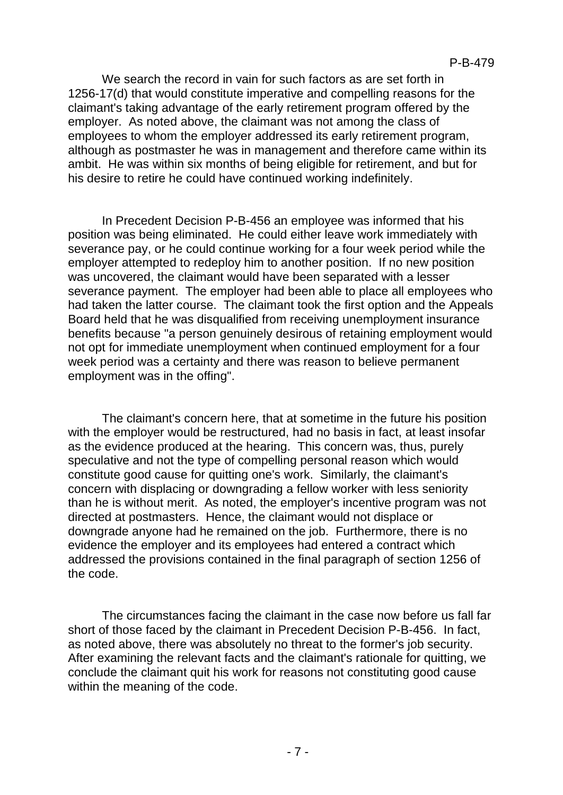We search the record in vain for such factors as are set forth in 1256-17(d) that would constitute imperative and compelling reasons for the claimant's taking advantage of the early retirement program offered by the employer. As noted above, the claimant was not among the class of employees to whom the employer addressed its early retirement program, although as postmaster he was in management and therefore came within its ambit. He was within six months of being eligible for retirement, and but for his desire to retire he could have continued working indefinitely.

In Precedent Decision P-B-456 an employee was informed that his position was being eliminated. He could either leave work immediately with severance pay, or he could continue working for a four week period while the employer attempted to redeploy him to another position. If no new position was uncovered, the claimant would have been separated with a lesser severance payment. The employer had been able to place all employees who had taken the latter course. The claimant took the first option and the Appeals Board held that he was disqualified from receiving unemployment insurance benefits because "a person genuinely desirous of retaining employment would not opt for immediate unemployment when continued employment for a four week period was a certainty and there was reason to believe permanent employment was in the offing".

The claimant's concern here, that at sometime in the future his position with the employer would be restructured, had no basis in fact, at least insofar as the evidence produced at the hearing. This concern was, thus, purely speculative and not the type of compelling personal reason which would constitute good cause for quitting one's work. Similarly, the claimant's concern with displacing or downgrading a fellow worker with less seniority than he is without merit. As noted, the employer's incentive program was not directed at postmasters. Hence, the claimant would not displace or downgrade anyone had he remained on the job. Furthermore, there is no evidence the employer and its employees had entered a contract which addressed the provisions contained in the final paragraph of section 1256 of the code.

The circumstances facing the claimant in the case now before us fall far short of those faced by the claimant in Precedent Decision P-B-456. In fact, as noted above, there was absolutely no threat to the former's job security. After examining the relevant facts and the claimant's rationale for quitting, we conclude the claimant quit his work for reasons not constituting good cause within the meaning of the code.